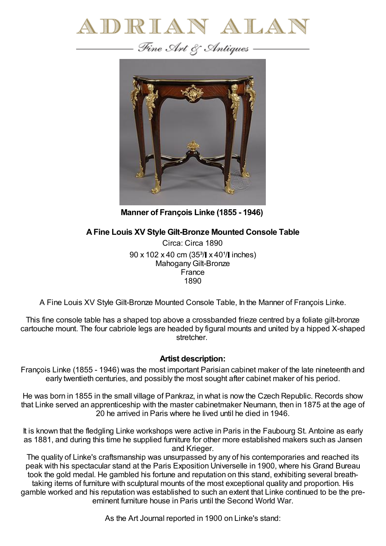

— Fine Art & Antiques —



**Manner of François Linke (1855 - 1946)**

## **AFine Louis XV Style Gilt-Bronze Mounted Console Table**

Circa: Circa 1890  $90 \times 102 \times 40$  cm (35<sup>3</sup>/ $\blacktriangleright$  x 40<sup>1</sup>/ $\blacktriangleright$  inches) Mahogany Gilt-Bronze France 1890

A Fine Louis XV Style Gilt-Bronze Mounted Console Table, In the Manner of François Linke.

This fine console table has a shaped top above a crossbanded frieze centred by a foliate gilt-bronze cartouche mount. The four cabriole legs are headed by figural mounts and united by a hipped X-shaped stretcher.

## **Artist description:**

François Linke (1855 - 1946) was the most important Parisian cabinet maker of the late nineteenth and early twentieth centuries, and possibly the most sought after cabinet maker of his period.

He was born in 1855 in the small village of Pankraz, in what is now the Czech Republic. Records show that Linke served an apprenticeship with the master cabinetmaker Neumann, then in 1875 at the age of 20 he arrived in Paris where he lived until he died in 1946.

It is known that the fledgling Linke workshops were active in Paris in the Faubourg St. Antoine as early as 1881, and during this time he supplied furniture for other more established makers such as Jansen and Krieger.

The quality of Linke's craftsmanship was unsurpassed by any of his contemporaries and reached its peak with his spectacular stand at the Paris Exposition Universelle in 1900, where his Grand Bureau took the gold medal. He gambled his fortune and reputation on this stand, exhibiting several breathtaking items of furniture with sculptural mounts of the most exceptional quality and proportion. His gamble worked and his reputation was established to such an extent that Linke continued to be the preeminent furniture house in Paris until the Second World War.

As the Art Journal reported in 1900 on Linke's stand: